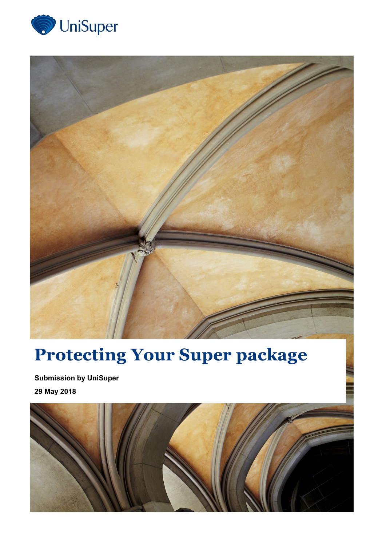



# **Protecting Your Super package**

**Submission by UniSuper 29 May 2018**

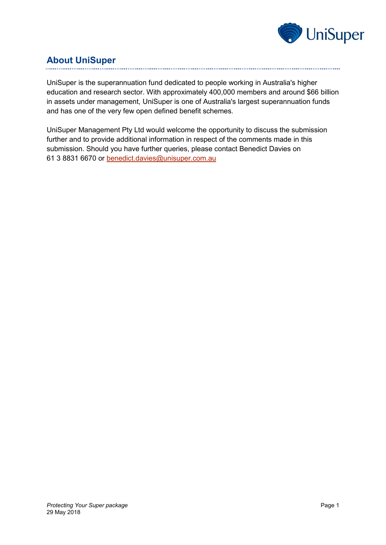

# **About UniSuper**

UniSuper is the superannuation fund dedicated to people working in Australia's higher education and research sector. With approximately 400,000 members and around \$66 billion in assets under management, UniSuper is one of Australia's largest superannuation funds and has one of the very few open defined benefit schemes.

UniSuper Management Pty Ltd would welcome the opportunity to discuss the submission further and to provide additional information in respect of the comments made in this submission. Should you have further queries, please contact Benedict Davies on 61 3 8831 6670 or [benedict.davies@unisuper.com.au](mailto:benedict.davies@unisuper.com.au)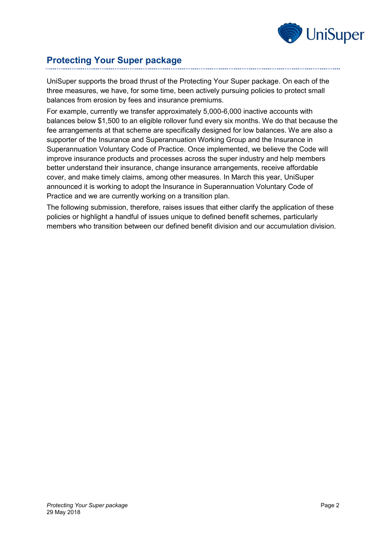

## **Protecting Your Super package**

UniSuper supports the broad thrust of the Protecting Your Super package. On each of the three measures, we have, for some time, been actively pursuing policies to protect small balances from erosion by fees and insurance premiums.

For example, currently we transfer approximately 5,000-6,000 inactive accounts with balances below \$1,500 to an eligible rollover fund every six months. We do that because the fee arrangements at that scheme are specifically designed for low balances. We are also a supporter of the Insurance and Superannuation Working Group and the Insurance in Superannuation Voluntary Code of Practice. Once implemented, we believe the Code will improve insurance products and processes across the super industry and help members better understand their insurance, change insurance arrangements, receive affordable cover, and make timely claims, among other measures. In March this year, UniSuper announced it is working to adopt the Insurance in Superannuation Voluntary Code of Practice and we are currently working on a transition plan.

The following submission, therefore, raises issues that either clarify the application of these policies or highlight a handful of issues unique to defined benefit schemes, particularly members who transition between our defined benefit division and our accumulation division.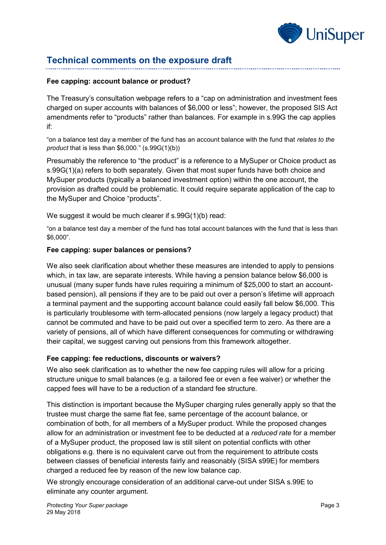

## **Technical comments on the exposure draft**

#### **Fee capping: account balance or product?**

The Treasury's consultation webpage refers to a "cap on administration and investment fees charged on super accounts with balances of \$6,000 or less"; however, the proposed SIS Act amendments refer to "products" rather than balances. For example in s.99G the cap applies if:

"on a balance test day a member of the fund has an account balance with the fund that *relates to the product* that is less than \$6,000." (s.99G(1)(b))

Presumably the reference to "the product" is a reference to a MySuper or Choice product as s.99G(1)(a) refers to both separately. Given that most super funds have both choice and MySuper products (typically a balanced investment option) within the one account, the provision as drafted could be problematic. It could require separate application of the cap to the MySuper and Choice "products".

We suggest it would be much clearer if s.99G(1)(b) read:

"on a balance test day a member of the fund has total account balances with the fund that is less than \$6,000".

#### **Fee capping: super balances or pensions?**

We also seek clarification about whether these measures are intended to apply to pensions which, in tax law, are separate interests. While having a pension balance below \$6,000 is unusual (many super funds have rules requiring a minimum of \$25,000 to start an accountbased pension), all pensions if they are to be paid out over a person's lifetime will approach a terminal payment and the supporting account balance could easily fall below \$6,000. This is particularly troublesome with term-allocated pensions (now largely a legacy product) that cannot be commuted and have to be paid out over a specified term to zero. As there are a variety of pensions, all of which have different consequences for commuting or withdrawing their capital, we suggest carving out pensions from this framework altogether.

#### **Fee capping: fee reductions, discounts or waivers?**

We also seek clarification as to whether the new fee capping rules will allow for a pricing structure unique to small balances (e.g. a tailored fee or even a fee waiver) or whether the capped fees will have to be a reduction of a standard fee structure.

This distinction is important because the MySuper charging rules generally apply so that the trustee must charge the same flat fee, same percentage of the account balance, or combination of both, for all members of a MySuper product. While the proposed changes allow for an administration or investment fee to be deducted at a *reduced rate* for a member of a MySuper product, the proposed law is still silent on potential conflicts with other obligations e.g. there is no equivalent carve out from the requirement to attribute costs between classes of beneficial interests fairly and reasonably (SISA s99E) for members charged a reduced fee by reason of the new low balance cap.

We strongly encourage consideration of an additional carve-out under SISA s.99E to eliminate any counter argument.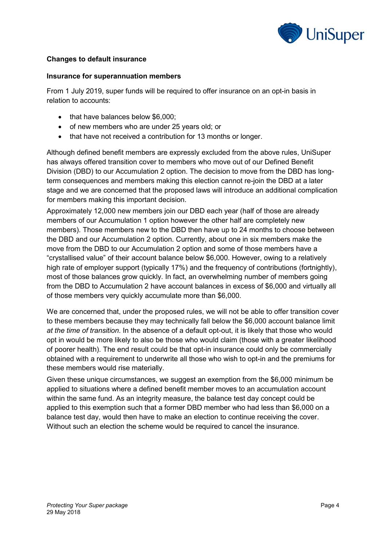

## **Changes to default insurance**

#### **Insurance for superannuation members**

From 1 July 2019, super funds will be required to offer insurance on an opt-in basis in relation to accounts:

- that have balances below \$6,000;
- of new members who are under 25 years old; or
- that have not received a contribution for 13 months or longer.

Although defined benefit members are expressly excluded from the above rules, UniSuper has always offered transition cover to members who move out of our Defined Benefit Division (DBD) to our Accumulation 2 option. The decision to move from the DBD has longterm consequences and members making this election cannot re-join the DBD at a later stage and we are concerned that the proposed laws will introduce an additional complication for members making this important decision.

Approximately 12,000 new members join our DBD each year (half of those are already members of our Accumulation 1 option however the other half are completely new members). Those members new to the DBD then have up to 24 months to choose between the DBD and our Accumulation 2 option. Currently, about one in six members make the move from the DBD to our Accumulation 2 option and some of those members have a "crystallised value" of their account balance below \$6,000. However, owing to a relatively high rate of employer support (typically 17%) and the frequency of contributions (fortnightly), most of those balances grow quickly. In fact, an overwhelming number of members going from the DBD to Accumulation 2 have account balances in excess of \$6,000 and virtually all of those members very quickly accumulate more than \$6,000.

We are concerned that, under the proposed rules, we will not be able to offer transition cover to these members because they may technically fall below the \$6,000 account balance limit *at the time of transition*. In the absence of a default opt-out, it is likely that those who would opt in would be more likely to also be those who would claim (those with a greater likelihood of poorer health). The end result could be that opt-in insurance could only be commercially obtained with a requirement to underwrite all those who wish to opt-in and the premiums for these members would rise materially.

Given these unique circumstances, we suggest an exemption from the \$6,000 minimum be applied to situations where a defined benefit member moves to an accumulation account within the same fund. As an integrity measure, the balance test day concept could be applied to this exemption such that a former DBD member who had less than \$6,000 on a balance test day, would then have to make an election to continue receiving the cover. Without such an election the scheme would be required to cancel the insurance.